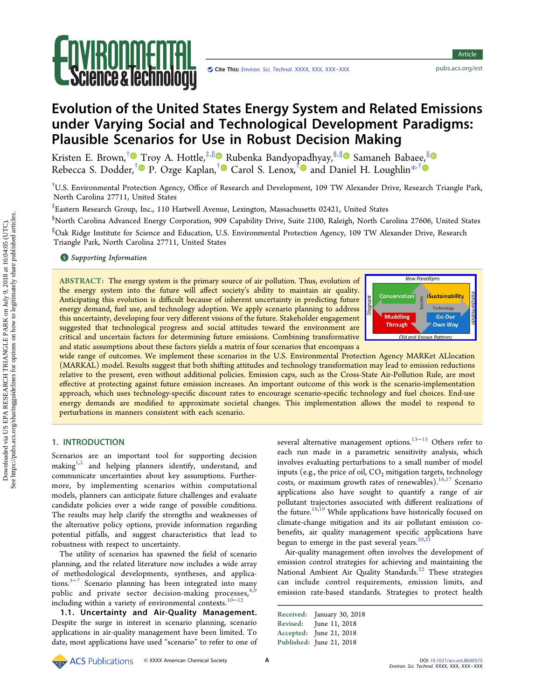

# Evolution of the United States Energy System and Related Emissions under Varying Social and Technological Development Paradigms: Plausible Scenarios for Use in Robust Decision Making

Kristen E. Brown,<sup>[†](#page-9-0)</sup> [T](#page-9-0)roy A. Hottle,<sup>‡,||</sup> [R](#page-9-0)ubenka Bandyo[pad](#page-9-0)hyay,<sup>§,||</sup> Samaneh Bab[aee,](#page-9-0)<sup>||</sup> Rebecca S. Dodder,<sup>†</sup> P. Ozge Kaplan,<sup>†</sup> Carol S. Lenox,<sup>†</sup> and Daniel H. Loughlin<sup>\*,†</sup>

† U.S. Environmental Protection Agency, Office of Research and Development, 109 TW Alexander Drive, Research Triangle Park, North Carolina 27711, United States

‡ Eastern Research Group, Inc., 110 Hartwell Avenue, Lexington, Massachusetts 02421, United States

§ North Carolina Advanced Energy Corporation, 909 Capability Drive, Suite 2100, Raleigh, North Carolina 27606, United States ∥ Oak Ridge Institute for Science and Education, U.S. Environmental Protection Agency, 109 TW Alexander Drive, Research Triangle Park, North Carolina 27711, United States

**S** [Supporting Information](#page-9-0)

ABSTRACT: The energy system is the primary source of air pollution. Thus, evolution of the energy system into the future will affect society's ability to maintain air quality. Anticipating this evolution is difficult because of inherent uncertainty in predicting future energy demand, fuel use, and technology adoption. We apply scenario planning to address this uncertainty, developing four very different visions of the future. Stakeholder engagement suggested that technological progress and social attitudes toward the environment are critical and uncertain factors for determining future emissions. Combining transformative and static assumptions about these factors yields a matrix of four scenarios that encompass a



wide range of outcomes. We implement these scenarios in the U.S. Environmental Protection Agency MARKet ALlocation (MARKAL) model. Results suggest that both shifting attitudes and technology transformation may lead to emission reductions relative to the present, even without additional policies. Emission caps, such as the Cross-State Air-Pollution Rule, are most effective at protecting against future emission increases. An important outcome of this work is the scenario-implementation approach, which uses technology-specific discount rates to encourage scenario-specific technology and fuel choices. End-use energy demands are modified to approximate societal changes. This implementation allows the model to respond to perturbations in manners consistent with each scenario.

## 1. INTRODUCTION

Scenarios are an important tool for supporting decision making $1,2$  and helping planners identify, understand, and communicate uncertainties about key assumptions. Furthermore, by implementing scenarios within computational models, planners can anticipate future challenges and evaluate candidate policies over a wide range of possible conditions. The results may help clarify the strengths and weaknesses of the alternative policy options, provide information regarding potential pitfalls, and suggest characteristics that lead to robustness with respect to uncertainty.

The utility of scenarios has spawned the field of scenario planning, and the related literature now includes a wide array of methodological developments, syntheses, and applica-tions.<sup>3−[7](#page-10-0)</sup> Scenario planning has been integrated into many public and private sector decision-making processes, $8$ including within a variety of environmental contexts.[10](#page-10-0)−[12](#page-10-0)

1.1. Uncertainty and Air-Quality Management. Despite the surge in interest in scenario planning, scenario applications in air-quality management have been limited. To date, most applications have used "scenario" to refer to one of several alternative management options.<sup>13−[15](#page-10-0)</sup> Others refer to each run made in a parametric sensitivity analysis, which involves evaluating perturbations to a small number of model inputs (e.g., the price of oil,  $CO<sub>2</sub>$  mitigation targets, technology costs, or maximum growth rates of renewables). $16,17$  Scenario applications also have sought to quantify a range of air pollutant trajectories associated with different realizations of the future.<sup>18,19</sup> While applications have historically focused on climate-change mitigation and its air pollutant emission cobenefits, air quality management specific applications have begun to emerge in the past several years.<sup>20,2</sup>

Air-quality management often involves the development of emission control strategies for achieving and maintaining the National Ambient Air Quality Standards.<sup>22</sup> [These strategies](#page-10-0) can include control requirements, emission limits, and emission rate-based standards. Strategies to protect health

Received: January 30, 2018 Revised: June 11, 2018 Accepted: June 21, 2018 Published: June 21, 2018

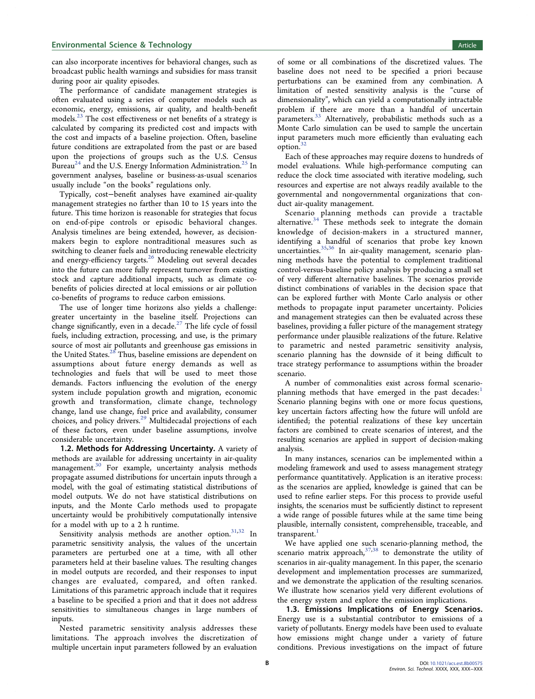can also incorporate incentives for behavioral changes, such as broadcast public health warnings and subsidies for mass transit during poor air quality episodes.

The performance of candidate management strategies is often evaluated using a series of computer models such as economic, energy, emissions, air quality, and health-benefit models.<sup>23</sup> The cost eff[ectiveness or net bene](#page-10-0)fits of a strategy is calculated by comparing its predicted cost and impacts with the cost and impacts of a baseline projection. Often, baseline future conditions are extrapolated from the past or are based upon the projections of groups such as the U.S. Census Bureau<sup>24</sup> and the U.S. Energy [In](#page-10-0)formation Administration.<sup>25</sup> In government analyses, baseline or business-as-usual scenarios usually include "on the books" regulations only.

Typically, cost−benefit analyses have examined air-quality management strategies no farther than 10 to 15 years into the future. This time horizon is reasonable for strategies that focus on end-of-pipe controls or episodic behavioral changes. Analysis timelines are being extended, however, as decisionmakers begin to explore nontraditional measures such as switching to cleaner fuels and introducing renewable electricity and energy-efficiency targets.<sup>26</sup> [Modeling out several decades](#page-10-0) into the future can more fully represent turnover from existing stock and capture additional impacts, such as climate cobenefits of policies directed at local emissions or air pollution co-benefits of programs to reduce carbon emissions.

The use of longer time horizons also yields a challenge: greater uncertainty in the baseline itself. Projections can change significantly, even in a decade. $27$  [The life cycle of fossil](#page-10-0) fuels, including extraction, processing, and use, is the primary source of most air pollutants and greenhouse gas emissions in the United States.<sup>28</sup> [Thus, baseline emissions are dependent on](#page-10-0) assumptions about future energy demands as well as technologies and fuels that will be used to meet those demands. Factors influencing the evolution of the energy system include population growth and migration, economic growth and transformation, climate change, technology change, land use change, fuel price and availability, consumer choices, and policy drivers.<sup>29</sup> [Multidecadal projections of each](#page-10-0) of these factors, even under baseline assumptions, involve considerable uncertainty.

1.2. Methods for Addressing Uncertainty. A variety of methods are available for addressing uncertainty in air-quality management.<sup>30</sup> [For example, uncertainty analysis methods](#page-10-0) propagate assumed distributions for uncertain inputs through a model, with the goal of estimating statistical distributions of model outputs. We do not have statistical distributions on inputs, and the Monte Carlo methods used to propagate uncertainty would be prohibitively computationally intensive for a model with up to a 2 h runtime.

Sensitivity analysis methods are another option.<sup>31,[32](#page-10-0)</sup> In parametric sensitivity analysis, the values of the uncertain parameters are perturbed one at a time, with all other parameters held at their baseline values. The resulting changes in model outputs are recorded, and their responses to input changes are evaluated, compared, and often ranked. Limitations of this parametric approach include that it requires a baseline to be specified a priori and that it does not address sensitivities to simultaneous changes in large numbers of inputs.

Nested parametric sensitivity analysis addresses these limitations. The approach involves the discretization of multiple uncertain input parameters followed by an evaluation of some or all combinations of the discretized values. The baseline does not need to be specified a priori because perturbations can be examined from any combination. A limitation of nested sensitivity analysis is the "curse of dimensionality", which can yield a computationally intractable problem if there are more than a handful of uncertain parameters.<sup>33</sup> [Alternatively, probabilistic methods such as a](#page-10-0) Monte Carlo simulation can be used to sample the uncertain input parameters much more efficiently than evaluating each option. $32$ 

Each of these approaches may require dozens to hundreds of model evaluations. While high-performance computing can reduce the clock time associated with iterative modeling, such resources and expertise are not always readily available to the governmental and nongovernmental organizations that conduct air-quality management.

Scenario planning methods can provide a tractable alternative.<sup>34</sup> [These methods seek to integrate the domain](#page-10-0) knowledge of decision-makers in a structured manner, identifying a handful of scenarios that probe key known uncertainties.[35](#page-10-0),[36](#page-10-0) In air-quality management, scenario planning methods have the potential to complement traditional control-versus-baseline policy analysis by producing a small set of very different alternative baselines. The scenarios provide distinct combinations of variables in the decision space that can be explored further with Monte Carlo analysis or other methods to propagate input parameter uncertainty. Policies and management strategies can then be evaluated across these baselines, providing a fuller picture of the management strategy performance under plausible realizations of the future. Relative to parametric and nested parametric sensitivity analysis, scenario planning has the downside of it being difficult to trace strategy performance to assumptions within the broader scenario.

A number of commonalities exist across formal scenarioplanning methods that have emerged in the past decades: $^1$  $^1$ Scenario planning begins with one or more focus questions, key uncertain factors affecting how the future will unfold are identified; the potential realizations of these key uncertain factors are combined to create scenarios of interest, and the resulting scenarios are applied in support of decision-making analysis.

In many instances, scenarios can be implemented within a modeling framework and used to assess management strategy performance quantitatively. Application is an iterative process: as the scenarios are applied, knowledge is gained that can be used to refine earlier steps. For this process to provide useful insights, the scenarios must be sufficiently distinct to represent a wide range of possible futures while at the same time being plausible, internally consistent, comprehensible, traceable, and transparent. $\frac{1}{1}$  $\frac{1}{1}$  $\frac{1}{1}$ 

We have applied one such scenario-planning method, the scenario matrix approach, $37,38$  $37,38$  $37,38$  to demonstrate the utility of scenarios in air-quality management. In this paper, the scenario development and implementation processes are summarized, and we demonstrate the application of the resulting scenarios. We illustrate how scenarios yield very different evolutions of the energy system and explore the emission implications.

1.3. Emissions Implications of Energy Scenarios. Energy use is a substantial contributor to emissions of a variety of pollutants. Energy models have been used to evaluate how emissions might change under a variety of future conditions. Previous investigations on the impact of future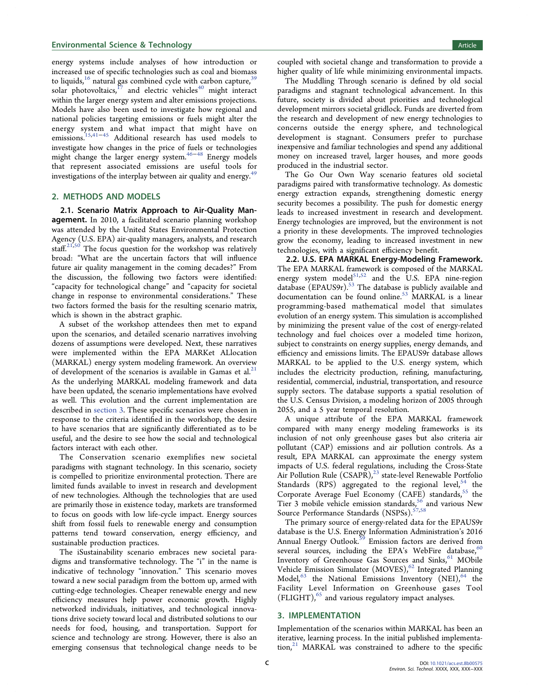# <span id="page-2-0"></span>**Environmental Science & Technology Article 3 and Science Article 3 and Science Article 3 and Science Article 3 and Science Article 3 and Science Article 3 and Science Article 3 and Science Article 3 and Science Article 3**

energy systems include analyses of how introduction or increased use of specific technologies such as coal and biomass to liquids, $16$  natural gas combined cycle with carbon capture, $39$ solar photovoltaics, $^{17}$  [and electric vehicles](#page-10-0)<sup>40</sup> [might interact](#page-10-0) within the larger energy system and alter emissions projections. Models have also been used to investigate how regional and national policies targeting emissions or fuels might alter the energy system and what impact that might have on emissions[.15](#page-10-0),[41](#page-10-0)<sup>−</sup>[45](#page-10-0) Additional research has used models to investigate how changes in the price of fuels or technologies might change the larger energy system.[46](#page-10-0)−[48](#page-11-0) Energy models that represent associated emissions are useful tools for investigations of the interplay between air quality and energy.<sup>4</sup>

# 2. METHODS AND MODELS

2.1. Scenario Matrix Approach to Air-Quality Management. In 2010, a facilitated scenario planning workshop was attended by the United States Environmental Protection Agency (U.S. EPA) air-quality managers, analysts, and research staff.<sup>[21](#page-10-0),[50](#page-11-0)</sup> The focus question for the workshop was relatively broad: "What are the uncertain factors that will influence future air quality management in the coming decades?" From the discussion, the following two factors were identified: "capacity for technological change" and "capacity for societal change in response to environmental considerations." These two factors formed the basis for the resulting scenario matrix, which is shown in the abstract graphic.

A subset of the workshop attendees then met to expand upon the scenarios, and detailed scenario narratives involving dozens of assumptions were developed. Next, these narratives were implemented within the EPA MARKet ALlocation (MARKAL) energy system modeling framework. An overview of development of the scenarios is available in Gamas et al. $21$ As the underlying MARKAL modeling framework and data have been updated, the scenario implementations have evolved as well. This evolution and the current implementation are described in section 3. These specific scenarios were chosen in response to the criteria identified in the workshop, the desire to have scenarios that are significantly differentiated as to be useful, and the desire to see how the social and technological factors interact with each other.

The Conservation scenario exemplifies new societal paradigms with stagnant technology. In this scenario, society is compelled to prioritize environmental protection. There are limited funds available to invest in research and development of new technologies. Although the technologies that are used are primarily those in existence today, markets are transformed to focus on goods with low life-cycle impact. Energy sources shift from fossil fuels to renewable energy and consumption patterns tend toward conservation, energy efficiency, and sustainable production practices.

The iSustainability scenario embraces new societal paradigms and transformative technology. The "i" in the name is indicative of technology "innovation." This scenario moves toward a new social paradigm from the bottom up, armed with cutting-edge technologies. Cheaper renewable energy and new efficiency measures help power economic growth. Highly networked individuals, initiatives, and technological innovations drive society toward local and distributed solutions to our needs for food, housing, and transportation. Support for science and technology are strong. However, there is also an emerging consensus that technological change needs to be

coupled with societal change and transformation to provide a higher quality of life while minimizing environmental impacts.

The Muddling Through scenario is defined by old social paradigms and stagnant technological advancement. In this future, society is divided about priorities and technological development mirrors societal gridlock. Funds are diverted from the research and development of new energy technologies to concerns outside the energy sphere, and technological development is stagnant. Consumers prefer to purchase inexpensive and familiar technologies and spend any additional money on increased travel, larger houses, and more goods produced in the industrial sector.

The Go Our Own Way scenario features old societal paradigms paired with transformative technology. As domestic energy extraction expands, strengthening domestic energy security becomes a possibility. The push for domestic energy leads to increased investment in research and development. Energy technologies are improved, but the environment is not a priority in these developments. The improved technologies grow the economy, leading to increased investment in new technologies, with a significant efficiency benefit.

2.2. U.S. EPA MARKAL Energy-Modeling Framework. The EPA MARKAL framework is composed of the MARKAL energy system model<sup>[51,52](#page-11-0)</sup> and the U.S. EPA nine-region database (EPAUS9r).<sup>53</sup> [The database is publicly available and](#page-11-0) documentation can be found online.<sup>53</sup> [MARKAL is a linear](#page-11-0) programming-based mathematical model that simulates evolution of an energy system. This simulation is accomplished by minimizing the present value of the cost of energy-related technology and fuel choices over a modeled time horizon, subject to constraints on energy supplies, energy demands, and efficiency and emissions limits. The EPAUS9r database allows MARKAL to be applied to the U.S. energy system, which includes the electricity production, refining, manufacturing, residential, commercial, industrial, transportation, and resource supply sectors. The database supports a spatial resolution of the U.S. Census Division, a modeling horizon of 2005 through 2055, and a 5 year temporal resolution.

A unique attribute of the EPA MARKAL framework compared with many energy modeling frameworks is its inclusion of not only greenhouse gases but also criteria air pollutant (CAP) emissions and air pollution controls. As a result, EPA MARKAL can approximate the energy system impacts of U.S. federal regulations, including the Cross-State Air Pollution Rule  $(CSAPR)<sup>23</sup>$  [state-level Renewable Portfolio](#page-10-0) Standards  $(RPS)$  aggregated to [the](#page-11-0) regional level, the Corporate Average Fuel Economy (CAFE) standards,<sup>55</sup> [the](#page-11-0) Tier 3 mobile vehicle emission standards,<sup>56</sup> [and various New](#page-11-0) Source Performance Standards (NSPSs).<sup>[57,58](#page-11-0)</sup>

The primary source of energy-related data for the EPAUS9r database is the U.S. Energy Information Administration's 2016 Annual Energy Outlook.<sup>59</sup> [Emission factors are derived from](#page-11-0) several sources, including the EPA's WebFire database,  $60$ Inventory of Greenhouse Gas Sources and Sinks,<sup>61</sup> [MObile](#page-11-0) Vehicle Emission Simulator (MOVES),<sup>62</sup> [Integrated Planning](#page-11-0) Model, $^{63}$  [the National Emissions Inventory \(NEI\),](#page-11-0) $^{64}$  [the](#page-11-0) Facility Level Information on Greenhouse gases Tool  $(FLIGHT)$ ,<sup>65</sup> [and various regulatory impact analyses.](#page-11-0)

#### 3. IMPLEMENTATION

Implementation of the scenarios within MARKAL has been an iterative, learning process. In the initial published implementa-tion,<sup>21</sup> [MARKAL was constrained to adhere to the speci](#page-10-0)fic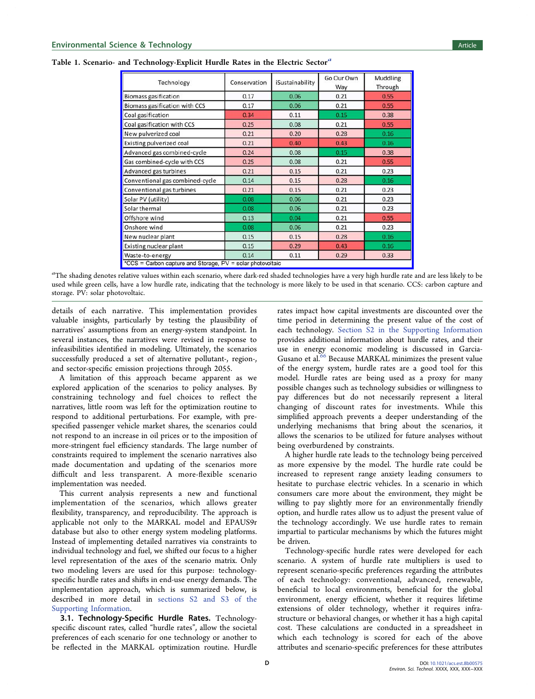| Technology                                                 | Conservation | iSustainability | Go Our Own<br>Way | Muddling<br>Through |  |
|------------------------------------------------------------|--------------|-----------------|-------------------|---------------------|--|
| <b>Biomass gasification</b>                                | 0.17         | 0.06            | 0.21              | 0.55                |  |
| Biomass gasification with CCS                              | 0.17         | 0.06            | 0.21              | 0.55                |  |
| Coal gasification                                          | 0.34         | 0.11            | 0.15              | 0.38                |  |
| Coal gasification with CCS                                 | 0.25         | 0.08            | 0.21              | 0.55                |  |
| New pulverized coal                                        | 0.21         | 0.20            | 0.28              | 0.16                |  |
| Existing pulverized coal                                   | 0.21         | 0.40            | 0.43              | 0.16                |  |
| Advanced gas combined-cycle                                | 0.24         | 0.08            | 0.15              | 0.38                |  |
| Gas combined-cycle with CCS                                | 0.25         | 0.08            | 0.21              | 0.55                |  |
| Advanced gas turbines                                      | 0.21         | 0.15            | 0.21              | 0.23                |  |
| Conventional gas combined-cycle                            | 0.14         | 0.15            | 0.28              | 0.16                |  |
| Conventional gas turbines                                  | 0.21         | 0.15            | 0.21              | 0.23                |  |
| Solar PV (utility)                                         | 0.08         | 0.06            | 0.21              | 0.23                |  |
| Solar thermal                                              | 0.08         | 0.06            | 0.21              | 0.23                |  |
| Offshore wind                                              | 0.13         | 0.04            | 0.21              | 0.55                |  |
| Onshore wind                                               | 0.08         | 0.06            | 0.21              | 0.23                |  |
| New nuclear plant                                          | 0.15         | 0.15            | 0.28              | 0.16                |  |
| Existing nuclear plant                                     | 0.15         | 0.29            | 0.43              | 0.16                |  |
| Waste-to-energy                                            | 0.14         | 0.11            | 0.29              | 0.33                |  |
| *CCS = Carbon capture and Storage, PV = solar photovoltaic |              |                 |                   |                     |  |

<span id="page-3-0"></span>Table 1. Scenario- and Technology-Explicit Hurdle Rates in the Electric Sector<sup>a</sup>

 ${}^a$ The shading denotes relative values within each scenario, where dark-red shaded technologies have a very high hurdle rate and are less likely to be used while green cells, have a low hurdle rate, indicating that the technology is more likely to be used in that scenario. CCS: carbon capture and storage. PV: solar photovoltaic.

details of each narrative. This implementation provides valuable insights, particularly by testing the plausibility of narratives' assumptions from an energy-system standpoint. In several instances, the narratives were revised in response to infeasibilities identified in modeling. Ultimately, the scenarios successfully produced a set of alternative pollutant-, region-, and sector-specific emission projections through 2055.

A limitation of this approach became apparent as we explored application of the scenarios to policy analyses. By constraining technology and fuel choices to reflect the narratives, little room was left for the optimization routine to respond to additional perturbations. For example, with prespecified passenger vehicle market shares, the scenarios could not respond to an increase in oil prices or to the imposition of more-stringent fuel efficiency standards. The large number of constraints required to implement the scenario narratives also made documentation and updating of the scenarios more difficult and less transparent. A more-flexible scenario implementation was needed.

This current analysis represents a new and functional implementation of the scenarios, which allows greater flexibility, transparency, and reproducibility. The approach is applicable not only to the MARKAL model and EPAUS9r database but also to other energy system modeling platforms. Instead of implementing detailed narratives via constraints to individual technology and fuel, we shifted our focus to a higher level representation of the axes of the scenario matrix. Only two modeling levers are used for this purpose: technologyspecific hurdle rates and shifts in end-use energy demands. The implementation approach, which is summarized below, is described in more detail in [sections S2 and S3 of the](http://pubs.acs.org/doi/suppl/10.1021/acs.est.8b00575/suppl_file/es8b00575_si_001.pdf) [Supporting Information.](http://pubs.acs.org/doi/suppl/10.1021/acs.est.8b00575/suppl_file/es8b00575_si_001.pdf)

3.1. Technology-Specific Hurdle Rates. Technologyspecific discount rates, called "hurdle rates", allow the societal preferences of each scenario for one technology or another to be reflected in the MARKAL optimization routine. Hurdle

rates impact how capital investments are discounted over the time period in determining the present value of the cost of each technology. [Section S2 in the Supporting Information](http://pubs.acs.org/doi/suppl/10.1021/acs.est.8b00575/suppl_file/es8b00575_si_001.pdf) provides additional information about hurdle rates, and their use in energy economic modeling is discussed in Garcia-Gusano et al.<sup>66</sup> [Because MARKAL minimizes the present value](#page-11-0) of the energy system, hurdle rates are a good tool for this model. Hurdle rates are being used as a proxy for many possible changes such as technology subsidies or willingness to pay differences but do not necessarily represent a literal changing of discount rates for investments. While this simplified approach prevents a deeper understanding of the underlying mechanisms that bring about the scenarios, it allows the scenarios to be utilized for future analyses without being overburdened by constraints.

A higher hurdle rate leads to the technology being perceived as more expensive by the model. The hurdle rate could be increased to represent range anxiety leading consumers to hesitate to purchase electric vehicles. In a scenario in which consumers care more about the environment, they might be willing to pay slightly more for an environmentally friendly option, and hurdle rates allow us to adjust the present value of the technology accordingly. We use hurdle rates to remain impartial to particular mechanisms by which the futures might be driven.

Technology-specific hurdle rates were developed for each scenario. A system of hurdle rate multipliers is used to represent scenario-specific preferences regarding the attributes of each technology: conventional, advanced, renewable, beneficial to local environments, beneficial for the global environment, energy efficient, whether it requires lifetime extensions of older technology, whether it requires infrastructure or behavioral changes, or whether it has a high capital cost. These calculations are conducted in a spreadsheet in which each technology is scored for each of the above attributes and scenario-specific preferences for these attributes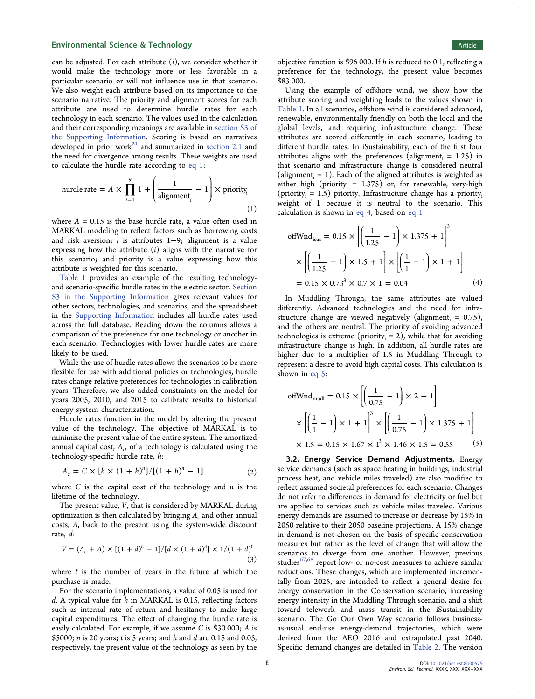can be adjusted. For each attribute  $(i)$ , we consider whether it would make the technology more or less favorable in a particular scenario or will not influence use in that scenario. We also weight each attribute based on its importance to the scenario narrative. The priority and alignment scores for each attribute are used to determine hurdle rates for each technology in each scenario. The values used in the calculation and their corresponding meanings are available in [section S3 of](http://pubs.acs.org/doi/suppl/10.1021/acs.est.8b00575/suppl_file/es8b00575_si_001.pdf) [the Supporting Information.](http://pubs.acs.org/doi/suppl/10.1021/acs.est.8b00575/suppl_file/es8b00575_si_001.pdf) Scoring is based on narratives developed in prior work $^{21}$  [and summarized in](#page-10-0) [section 2.1](#page-2-0) and the need for divergence among results. These weights are used to calculate the hurdle rate according to eq 1:

$$
\text{hurdle rate} = A \times \prod_{i=1}^{9} 1 + \left(\frac{1}{\text{alignment}_{i}} - 1\right) \times \text{priority}_{i}
$$
\n
$$
\tag{1}
$$

where  $A = 0.15$  is the base hurdle rate, a value often used in MARKAL modeling to reflect factors such as borrowing costs and risk aversion; i is attributes 1−9; alignment is a value expressing how the attribute  $(i)$  aligns with the narrative for this scenario; and priority is a value expressing how this attribute is weighted for this scenario.

[Table 1](#page-3-0) provides an example of the resulting technologyand scenario-specific hurdle rates in the electric sector. [Section](http://pubs.acs.org/doi/suppl/10.1021/acs.est.8b00575/suppl_file/es8b00575_si_001.pdf) [S3 in the Supporting Information](http://pubs.acs.org/doi/suppl/10.1021/acs.est.8b00575/suppl_file/es8b00575_si_001.pdf) gives relevant values for other sectors, technologies, and scenarios, and the spreadsheet in the [Supporting Information](http://pubs.acs.org/doi/suppl/10.1021/acs.est.8b00575/suppl_file/es8b00575_si_002.xlsx) includes all hurdle rates used across the full database. Reading down the columns allows a comparison of the preference for one technology or another in each scenario. Technologies with lower hurdle rates are more likely to be used.

While the use of hurdle rates allows the scenarios to be more flexible for use with additional policies or technologies, hurdle rates change relative preferences for technologies in calibration years. Therefore, we also added constraints on the model for years 2005, 2010, and 2015 to calibrate results to historical energy system characterization.

Hurdle rates function in the model by altering the present value of the technology. The objective of MARKAL is to minimize the present value of the entire system. The amortized annual capital cost,  $A_c$ , of a technology is calculated using the technology-specific hurdle rate, h:

$$
A_c = C \times [h \times (1 + h)^n]/[(1 + h)^n - 1]
$$
 (2)

where  $C$  is the capital cost of the technology and  $n$  is the lifetime of the technology.

The present value, V, that is considered by MARKAL during optimization is then calculated by bringing  $A_c$  and other annual costs, A, back to the present using the system-wide discount rate, d:

$$
V = (A_c + A) \times [(1 + d)^n - 1]/[d \times (1 + d)^n] \times 1/(1 + d)^t
$$
\n(3)

where  $t$  is the number of years in the future at which the purchase is made.

For the scenario implementations, a value of 0.05 is used for  $d$ . A typical value for  $h$  in MARKAL is 0.15, reflecting factors such as internal rate of return and hesitancy to make large capital expenditures. The effect of changing the hurdle rate is easily calculated. For example, if we assume C is \$30 000; A is \$5000;  $n$  is 20 years;  $t$  is 5 years; and  $h$  and  $d$  are 0.15 and 0.05, respectively, the present value of the technology as seen by the

objective function is \$96 000. If h is reduced to 0.1, reflecting a preference for the technology, the present value becomes \$83 000.

Using the example of offshore wind, we show how the attribute scoring and weighting leads to the values shown in [Table 1.](#page-3-0) In all scenarios, offshore wind is considered advanced, renewable, environmentally friendly on both the local and the global levels, and requiring infrastructure change. These attributes are scored differently in each scenario, leading to different hurdle rates. In iSustainability, each of the first four attributes aligns with the preferences (alignment $i = 1.25$ ) in that scenario and infrastructure change is considered neutral (alignment<sub>i</sub> = 1). Each of the aligned attributes is weighted as either high (priority $_i = 1.375$ ) or, for renewable, very-high (priority<sub>i</sub> = 1.5) priority. Infrastructure change has a priority<sub>i</sub> weight of 1 because it is neutral to the scenario. This calculation is shown in eq 4, based on eq 1:

offWnd<sub>isus</sub> = 0.15 × 
$$
\left[ \left( \frac{1}{1.25} - 1 \right) \times 1.375 + 1 \right]^3
$$
  
×  $\left[ \left( \frac{1}{1.25} - 1 \right) \times 1.5 + 1 \right] \times \left[ \left( \frac{1}{1} - 1 \right) \times 1 + 1 \right]$   
= 0.15 × 0.73<sup>3</sup> × 0.7 × 1 = 0.04 (4)

In Muddling Through, the same attributes are valued differently. Advanced technologies and the need for infrastructure change are viewed negatively (alignment<sub>i</sub> =  $0.75$ ), and the others are neutral. The priority of avoiding advanced technologies is extreme (priority<sub>i</sub> = 2), while that for avoiding infrastructure change is high. In addition, all hurdle rates are higher due to a multiplier of 1.5 in Muddling Through to represent a desire to avoid high capital costs. This calculation is shown in eq 5:

offWnd<sub>mud</sub> = 0.15 
$$
\times \left[ \left( \frac{1}{0.75} - 1 \right) \times 2 + 1 \right]
$$
  
 $\times \left[ \left( \frac{1}{1} - 1 \right) \times 1 + 1 \right]^3 \times \left[ \left( \frac{1}{0.75} - 1 \right) \times 1.375 + 1 \right]$   
 $\times 1.5 = 0.15 \times 1.67 \times 1^3 \times 1.46 \times 1.5 = 0.55$  (5)

3.2. Energy Service Demand Adjustments. Energy service demands (such as space heating in buildings, industrial process heat, and vehicle miles traveled) are also modified to reflect assumed societal preferences for each scenario. Changes do not refer to differences in demand for electricity or fuel but are applied to services such as vehicle miles traveled. Various energy demands are assumed to increase or decrease by 15% in 2050 relative to their 2050 baseline projections. A 15% change in demand is not chosen on the basis of specific conservation measures but rather as the level of change that will allow the scenarios to diverge from one another. However, previous studies<sup>[67,68](#page-11-0)</sup> report low- or no-cost measures to achieve similar reductions. These changes, which are implemented incrementally from 2025, are intended to reflect a general desire for energy conservation in the Conservation scenario, increasing energy intensity in the Muddling Through scenario, and a shift toward telework and mass transit in the iSustainability scenario. The Go Our Own Way scenario follows businessas-usual end-use energy-demand trajectories, which were derived from the AEO 2016 and extrapolated past 2040. Specific demand changes are detailed in [Table 2.](#page-5-0) The version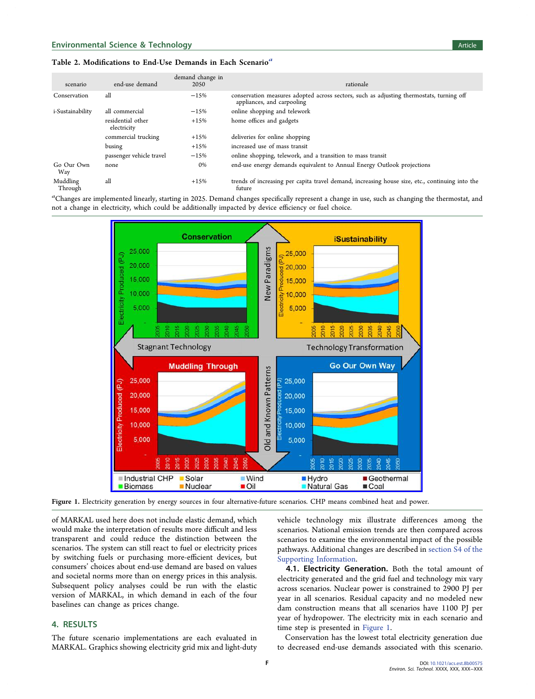## <span id="page-5-0"></span>Table 2. Modifications to End-Use Demands in Each Scenario<sup>a</sup>

| scenario            | end-use demand                   | demand change in<br>2050 | rationale                                                                                                              |
|---------------------|----------------------------------|--------------------------|------------------------------------------------------------------------------------------------------------------------|
| Conservation        | all                              | $-15%$                   | conservation measures adopted across sectors, such as adjusting thermostats, turning off<br>appliances, and carpooling |
| i-Sustainability    | all commercial                   | $-15%$                   | online shopping and telework                                                                                           |
|                     | residential other<br>electricity | $+15%$                   | home offices and gadgets                                                                                               |
|                     | commercial trucking              | $+15%$                   | deliveries for online shopping                                                                                         |
|                     | busing                           | $+15%$                   | increased use of mass transit                                                                                          |
|                     | passenger vehicle travel         | $-15%$                   | online shopping, telework, and a transition to mass transit                                                            |
| Go Our Own<br>Way   | none                             | 0%                       | end-use energy demands equivalent to Annual Energy Outlook projections                                                 |
| Muddling<br>Through | all                              | $+15%$                   | trends of increasing per capita travel demand, increasing house size, etc., continuing into the<br>future              |

a<br>Changes are implemented linearly, starting in 2025. Demand changes specifically represent a change in use, such as changing the thermostat, and not a change in electricity, which could be additionally impacted by device efficiency or fuel choice.



Figure 1. Electricity generation by energy sources in four alternative-future scenarios. CHP means combined heat and power.

of MARKAL used here does not include elastic demand, which would make the interpretation of results more difficult and less transparent and could reduce the distinction between the scenarios. The system can still react to fuel or electricity prices by switching fuels or purchasing more-efficient devices, but consumers' choices about end-use demand are based on values and societal norms more than on energy prices in this analysis. Subsequent policy analyses could be run with the elastic version of MARKAL, in which demand in each of the four baselines can change as prices change.

# 4. RESULTS

The future scenario implementations are each evaluated in MARKAL. Graphics showing electricity grid mix and light-duty

vehicle technology mix illustrate differences among the scenarios. National emission trends are then compared across scenarios to examine the environmental impact of the possible pathways. Additional changes are described in [section S4 of the](http://pubs.acs.org/doi/suppl/10.1021/acs.est.8b00575/suppl_file/es8b00575_si_001.pdf) [Supporting Information](http://pubs.acs.org/doi/suppl/10.1021/acs.est.8b00575/suppl_file/es8b00575_si_001.pdf).

4.1. Electricity Generation. Both the total amount of electricity generated and the grid fuel and technology mix vary across scenarios. Nuclear power is constrained to 2900 PJ per year in all scenarios. Residual capacity and no modeled new dam construction means that all scenarios have 1100 PJ per year of hydropower. The electricity mix in each scenario and time step is presented in Figure 1.

Conservation has the lowest total electricity generation due to decreased end-use demands associated with this scenario.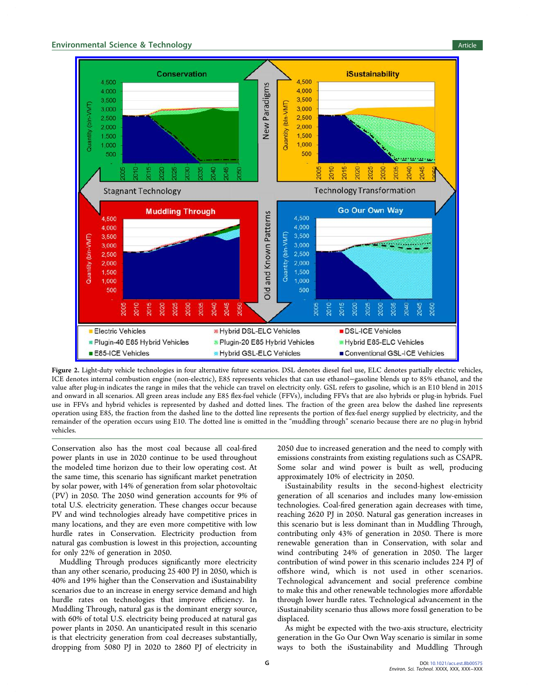# <span id="page-6-0"></span>**Environmental Science & Technology Article 3 and Science Article 3 and Science Article 3 and Science Article 3 and Science Article 3 and Science Article 3 and Science Article 3 and Science Article 3 and Science Article 3**



Figure 2. Light-duty vehicle technologies in four alternative future scenarios. DSL denotes diesel fuel use, ELC denotes partially electric vehicles, ICE denotes internal combustion engine (non-electric), E85 represents vehicles that can use ethanol−gasoline blends up to 85% ethanol, and the value after plug-in indicates the range in miles that the vehicle can travel on electricity only. GSL refers to gasoline, which is an E10 blend in 2015 and onward in all scenarios. All green areas include any E85 flex-fuel vehicle (FFVs), including FFVs that are also hybrids or plug-in hybrids. Fuel use in FFVs and hybrid vehicles is represented by dashed and dotted lines. The fraction of the green area below the dashed line represents operation using E85, the fraction from the dashed line to the dotted line represents the portion of flex-fuel energy supplied by electricity, and the remainder of the operation occurs using E10. The dotted line is omitted in the "muddling through" scenario because there are no plug-in hybrid vehicles.

Conservation also has the most coal because all coal-fired power plants in use in 2020 continue to be used throughout the modeled time horizon due to their low operating cost. At the same time, this scenario has significant market penetration by solar power, with 14% of generation from solar photovoltaic (PV) in 2050. The 2050 wind generation accounts for 9% of total U.S. electricity generation. These changes occur because PV and wind technologies already have competitive prices in many locations, and they are even more competitive with low hurdle rates in Conservation. Electricity production from natural gas combustion is lowest in this projection, accounting for only 22% of generation in 2050.

Muddling Through produces significantly more electricity than any other scenario, producing 25 400 PJ in 2050, which is 40% and 19% higher than the Conservation and iSustainability scenarios due to an increase in energy service demand and high hurdle rates on technologies that improve efficiency. In Muddling Through, natural gas is the dominant energy source, with 60% of total U.S. electricity being produced at natural gas power plants in 2050. An unanticipated result in this scenario is that electricity generation from coal decreases substantially, dropping from 5080 PJ in 2020 to 2860 PJ of electricity in

2050 due to increased generation and the need to comply with emissions constraints from existing regulations such as CSAPR. Some solar and wind power is built as well, producing approximately 10% of electricity in 2050.

iSustainability results in the second-highest electricity generation of all scenarios and includes many low-emission technologies. Coal-fired generation again decreases with time, reaching 2620 PJ in 2050. Natural gas generation increases in this scenario but is less dominant than in Muddling Through, contributing only 43% of generation in 2050. There is more renewable generation than in Conservation, with solar and wind contributing 24% of generation in 2050. The larger contribution of wind power in this scenario includes 224 PJ of offshore wind, which is not used in other scenarios. Technological advancement and social preference combine to make this and other renewable technologies more affordable through lower hurdle rates. Technological advancement in the iSustainability scenario thus allows more fossil generation to be displaced.

As might be expected with the two-axis structure, electricity generation in the Go Our Own Way scenario is similar in some ways to both the iSustainability and Muddling Through

G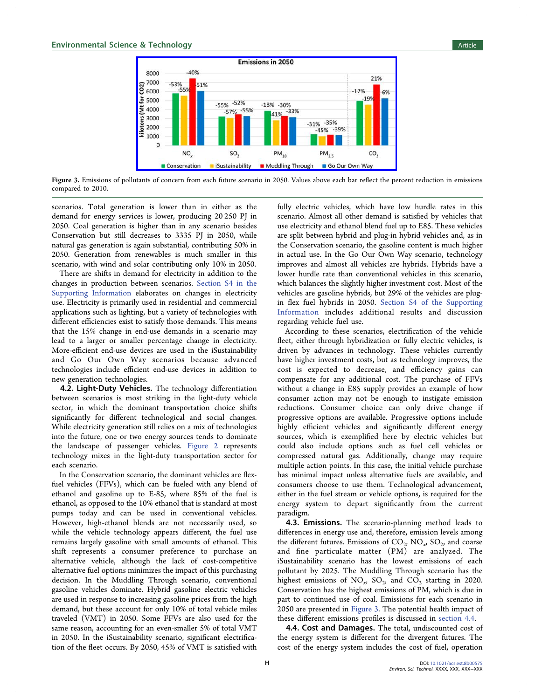

Figure 3. Emissions of pollutants of concern from each future scenario in 2050. Values above each bar reflect the percent reduction in emissions compared to 2010.

scenarios. Total generation is lower than in either as the demand for energy services is lower, producing 20 250 PJ in 2050. Coal generation is higher than in any scenario besides Conservation but still decreases to 3335 PJ in 2050, while natural gas generation is again substantial, contributing 50% in 2050. Generation from renewables is much smaller in this scenario, with wind and solar contributing only 10% in 2050.

There are shifts in demand for electricity in addition to the changes in production between scenarios. [Section S4 in the](http://pubs.acs.org/doi/suppl/10.1021/acs.est.8b00575/suppl_file/es8b00575_si_001.pdf) [Supporting Information](http://pubs.acs.org/doi/suppl/10.1021/acs.est.8b00575/suppl_file/es8b00575_si_001.pdf) elaborates on changes in electricity use. Electricity is primarily used in residential and commercial applications such as lighting, but a variety of technologies with different efficiencies exist to satisfy those demands. This means that the 15% change in end-use demands in a scenario may lead to a larger or smaller percentage change in electricity. More-efficient end-use devices are used in the iSustainability and Go Our Own Way scenarios because advanced technologies include efficient end-use devices in addition to new generation technologies.

4.2. Light-Duty Vehicles. The technology differentiation between scenarios is most striking in the light-duty vehicle sector, in which the dominant transportation choice shifts significantly for different technological and social changes. While electricity generation still relies on a mix of technologies into the future, one or two energy sources tends to dominate the landscape of passenger vehicles. [Figure 2](#page-6-0) represents technology mixes in the light-duty transportation sector for each scenario.

In the Conservation scenario, the dominant vehicles are flexfuel vehicles (FFVs), which can be fueled with any blend of ethanol and gasoline up to E-85, where 85% of the fuel is ethanol, as opposed to the 10% ethanol that is standard at most pumps today and can be used in conventional vehicles. However, high-ethanol blends are not necessarily used, so while the vehicle technology appears different, the fuel use remains largely gasoline with small amounts of ethanol. This shift represents a consumer preference to purchase an alternative vehicle, although the lack of cost-competitive alternative fuel options minimizes the impact of this purchasing decision. In the Muddling Through scenario, conventional gasoline vehicles dominate. Hybrid gasoline electric vehicles are used in response to increasing gasoline prices from the high demand, but these account for only 10% of total vehicle miles traveled (VMT) in 2050. Some FFVs are also used for the same reason, accounting for an even-smaller 5% of total VMT in 2050. In the iSustainability scenario, significant electrification of the fleet occurs. By 2050, 45% of VMT is satisfied with

fully electric vehicles, which have low hurdle rates in this scenario. Almost all other demand is satisfied by vehicles that use electricity and ethanol blend fuel up to E85. These vehicles are split between hybrid and plug-in hybrid vehicles and, as in the Conservation scenario, the gasoline content is much higher in actual use. In the Go Our Own Way scenario, technology improves and almost all vehicles are hybrids. Hybrids have a lower hurdle rate than conventional vehicles in this scenario, which balances the slightly higher investment cost. Most of the vehicles are gasoline hybrids, but 29% of the vehicles are plugin flex fuel hybrids in 2050. [Section S4 of the Supporting](http://pubs.acs.org/doi/suppl/10.1021/acs.est.8b00575/suppl_file/es8b00575_si_001.pdf) [Information](http://pubs.acs.org/doi/suppl/10.1021/acs.est.8b00575/suppl_file/es8b00575_si_001.pdf) includes additional results and discussion regarding vehicle fuel use.

According to these scenarios, electrification of the vehicle fleet, either through hybridization or fully electric vehicles, is driven by advances in technology. These vehicles currently have higher investment costs, but as technology improves, the cost is expected to decrease, and efficiency gains can compensate for any additional cost. The purchase of FFVs without a change in E85 supply provides an example of how consumer action may not be enough to instigate emission reductions. Consumer choice can only drive change if progressive options are available. Progressive options include highly efficient vehicles and significantly different energy sources, which is exemplified here by electric vehicles but could also include options such as fuel cell vehicles or compressed natural gas. Additionally, change may require multiple action points. In this case, the initial vehicle purchase has minimal impact unless alternative fuels are available, and consumers choose to use them. Technological advancement, either in the fuel stream or vehicle options, is required for the energy system to depart significantly from the current paradigm.

4.3. Emissions. The scenario-planning method leads to differences in energy use and, therefore, emission levels among the different futures. Emissions of  $CO_2$ ,  $NO_x$ ,  $SO_2$ , and coarse and fine particulate matter (PM) are analyzed. The iSustainability scenario has the lowest emissions of each pollutant by 2025. The Muddling Through scenario has the highest emissions of  $NO<sub>x</sub>$ ,  $SO<sub>2</sub>$ , and  $CO<sub>2</sub>$  starting in 2020. Conservation has the highest emissions of PM, which is due in part to continued use of coal. Emissions for each scenario in 2050 are presented in Figure 3. The potential health impact of these different emissions profiles is discussed in section 4.4.

4.4. Cost and Damages. The total, undiscounted cost of the energy system is different for the divergent futures. The cost of the energy system includes the cost of fuel, operation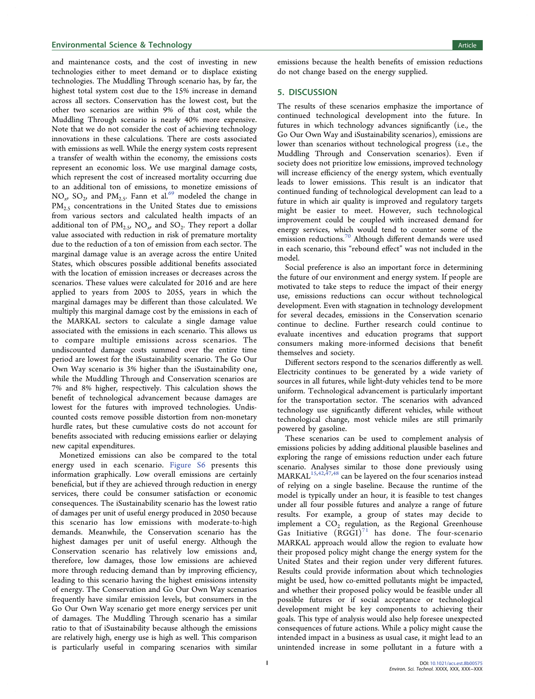# **Environmental Science & Technology Article 3 and Science Article 3 and Science Article 3 and Science Article 3 and Science Article 3 and Science Article 3 and Article 3 and Article 3 and Article 3 and Article 3 and Articl**

and maintenance costs, and the cost of investing in new technologies either to meet demand or to displace existing technologies. The Muddling Through scenario has, by far, the highest total system cost due to the 15% increase in demand across all sectors. Conservation has the lowest cost, but the other two scenarios are within 9% of that cost, while the Muddling Through scenario is nearly 40% more expensive. Note that we do not consider the cost of achieving technology innovations in these calculations. There are costs associated with emissions as well. While the energy system costs represent a transfer of wealth within the economy, the emissions costs represent an economic loss. We use marginal damage costs, which represent the cost of increased mortality occurring due to an additional ton of emissions, to monetize emissions of  $NO_x$ ,  $SO_2$ , and  $PM_{2.5}$ . Fann et al.<sup>69</sup> [modeled the change in](#page-11-0)  $PM_{2.5}$  concentrations in the United States due to emissions from various sectors and calculated health impacts of an additional ton of  $PM_{2.5}$ , NO<sub>x</sub>, and SO<sub>2</sub>. They report a dollar value associated with reduction in risk of premature mortality due to the reduction of a ton of emission from each sector. The marginal damage value is an average across the entire United States, which obscures possible additional benefits associated with the location of emission increases or decreases across the scenarios. These values were calculated for 2016 and are here applied to years from 2005 to 2055, years in which the marginal damages may be different than those calculated. We multiply this marginal damage cost by the emissions in each of the MARKAL sectors to calculate a single damage value associated with the emissions in each scenario. This allows us to compare multiple emissions across scenarios. The undiscounted damage costs summed over the entire time period are lowest for the iSustainability scenario. The Go Our Own Way scenario is 3% higher than the iSustainability one, while the Muddling Through and Conservation scenarios are 7% and 8% higher, respectively. This calculation shows the benefit of technological advancement because damages are lowest for the futures with improved technologies. Undiscounted costs remove possible distortion from non-monetary hurdle rates, but these cumulative costs do not account for benefits associated with reducing emissions earlier or delaying new capital expenditures.

Monetized emissions can also be compared to the total energy used in each scenario. [Figure S6](http://pubs.acs.org/doi/suppl/10.1021/acs.est.8b00575/suppl_file/es8b00575_si_001.pdf) presents this information graphically. Low overall emissions are certainly beneficial, but if they are achieved through reduction in energy services, there could be consumer satisfaction or economic consequences. The iSustainability scenario has the lowest ratio of damages per unit of useful energy produced in 2050 because this scenario has low emissions with moderate-to-high demands. Meanwhile, the Conservation scenario has the highest damages per unit of useful energy. Although the Conservation scenario has relatively low emissions and, therefore, low damages, those low emissions are achieved more through reducing demand than by improving efficiency, leading to this scenario having the highest emissions intensity of energy. The Conservation and Go Our Own Way scenarios frequently have similar emission levels, but consumers in the Go Our Own Way scenario get more energy services per unit of damages. The Muddling Through scenario has a similar ratio to that of iSustainability because although the emissions are relatively high, energy use is high as well. This comparison is particularly useful in comparing scenarios with similar emissions because the health benefits of emission reductions do not change based on the energy supplied.

## 5. DISCUSSION

The results of these scenarios emphasize the importance of continued technological development into the future. In futures in which technology advances significantly (i.e., the Go Our Own Way and iSustainability scenarios), emissions are lower than scenarios without technological progress (i.e., the Muddling Through and Conservation scenarios). Even if society does not prioritize low emissions, improved technology will increase efficiency of the energy system, which eventually leads to lower emissions. This result is an indicator that continued funding of technological development can lead to a future in which air quality is improved and regulatory targets might be easier to meet. However, such technological improvement could be coupled with increased demand for energy services, which would tend to counter some of the emission reductions.<sup>70</sup> Although diff[erent demands were used](#page-11-0) in each scenario, this "rebound effect" was not included in the model.

Social preference is also an important force in determining the future of our environment and energy system. If people are motivated to take steps to reduce the impact of their energy use, emissions reductions can occur without technological development. Even with stagnation in technology development for several decades, emissions in the Conservation scenario continue to decline. Further research could continue to evaluate incentives and education programs that support consumers making more-informed decisions that benefit themselves and society.

Different sectors respond to the scenarios differently as well. Electricity continues to be generated by a wide variety of sources in all futures, while light-duty vehicles tend to be more uniform. Technological advancement is particularly important for the transportation sector. The scenarios with advanced technology use significantly different vehicles, while without technological change, most vehicle miles are still primarily powered by gasoline.

These scenarios can be used to complement analysis of emissions policies by adding additional plausible baselines and exploring the range of emissions reduction under each future scenario. Analyses similar to those done previously using  $MARKAL<sup>15,42,47,48</sup>$  $MARKAL<sup>15,42,47,48</sup>$  $MARKAL<sup>15,42,47,48</sup>$  $MARKAL<sup>15,42,47,48</sup>$  $MARKAL<sup>15,42,47,48</sup>$  can be layered on the four scenarios instead of relying on a single baseline. Because the runtime of the model is typically under an hour, it is feasible to test changes under all four possible futures and analyze a range of future results. For example, a group of states may decide to implement a  $CO<sub>2</sub>$  regulation, as the Regional Greenhouse Gas Initiative  $(RGGI)^{71}$  [has done. The four-scenario](#page-11-0) MARKAL approach would allow the region to evaluate how their proposed policy might change the energy system for the United States and their region under very different futures. Results could provide information about which technologies might be used, how co-emitted pollutants might be impacted, and whether their proposed policy would be feasible under all possible futures or if social acceptance or technological development might be key components to achieving their goals. This type of analysis would also help foresee unexpected consequences of future actions. While a policy might cause the intended impact in a business as usual case, it might lead to an unintended increase in some pollutant in a future with a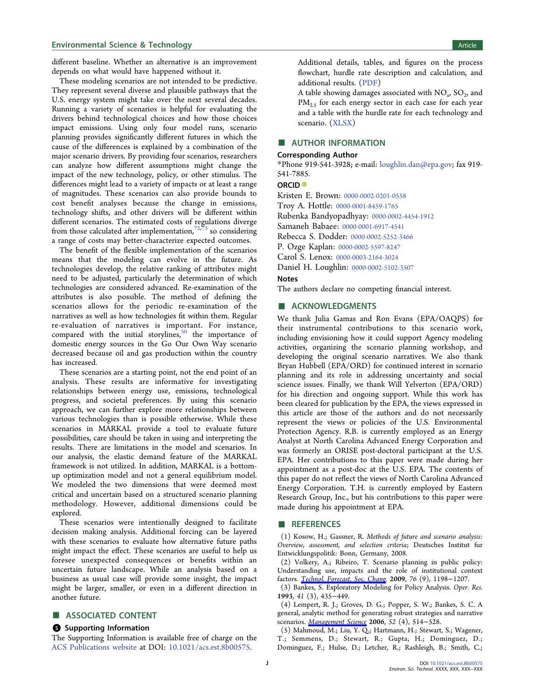# <span id="page-9-0"></span>**Environmental Science & Technology Article 3 and Science Article 3 and Science Article 3 and Science Article 3 and Science Article 3 and Science Article 3 and Science Article 3 and Science Article 3 and Science Article 3**

different baseline. Whether an alternative is an improvement depends on what would have happened without it.

These modeling scenarios are not intended to be predictive. They represent several diverse and plausible pathways that the U.S. energy system might take over the next several decades. Running a variety of scenarios is helpful for evaluating the drivers behind technological choices and how those choices impact emissions. Using only four model runs, scenario planning provides significantly different futures in which the cause of the differences is explained by a combination of the major scenario drivers. By providing four scenarios, researchers can analyze how different assumptions might change the impact of the new technology, policy, or other stimulus. The differences might lead to a variety of impacts or at least a range of magnitudes. These scenarios can also provide bounds to cost benefit analyses because the change in emissions, technology shifts, and other drivers will be different within different scenarios. The estimated costs of regulations diverge from those calculated after implementation, $72,73$  $72,73$  $72,73$  so considering a range of costs may better-characterize expected outcomes.

The benefit of the flexible implementation of the scenarios means that the modeling can evolve in the future. As technologies develop, the relative ranking of attributes might need to be adjusted, particularly the determination of which technologies are considered advanced. Re-examination of the attributes is also possible. The method of defining the scenarios allows for the periodic re-examination of the narratives as well as how technologies fit within them. Regular re-evaluation of narratives is important. For instance, compared with the initial storylines, $50$  [the importance of](#page-11-0) domestic energy sources in the Go Our Own Way scenario decreased because oil and gas production within the country has increased.

These scenarios are a starting point, not the end point of an analysis. These results are informative for investigating relationships between energy use, emissions, technological progress, and societal preferences. By using this scenario approach, we can further explore more relationships between various technologies than is possible otherwise. While these scenarios in MARKAL provide a tool to evaluate future possibilities, care should be taken in using and interpreting the results. There are limitations in the model and scenarios. In our analysis, the elastic demand feature of the MARKAL framework is not utilized. In addition, MARKAL is a bottomup optimization model and not a general equilibrium model. We modeled the two dimensions that were deemed most critical and uncertain based on a structured scenario planning methodology. However, additional dimensions could be explored.

These scenarios were intentionally designed to facilitate decision making analysis. Additional forcing can be layered with these scenarios to evaluate how alternative future paths might impact the effect. These scenarios are useful to help us foresee unexpected consequences or benefits within an uncertain future landscape. While an analysis based on a business as usual case will provide some insight, the impact might be larger, smaller, or even in a different direction in another future.

# ■ ASSOCIATED CONTENT

#### **S** Supporting Information

The Supporting Information is available free of charge on the [ACS Publications website](http://pubs.acs.org) at DOI: [10.1021/acs.est.8b00575](http://pubs.acs.org/doi/abs/10.1021/acs.est.8b00575).

Additional details, tables, and figures on the process flowchart, hurdle rate description and calculation, and additional results. ([PDF\)](http://pubs.acs.org/doi/suppl/10.1021/acs.est.8b00575/suppl_file/es8b00575_si_001.pdf)

A table showing damages associated with  $NO<sub>x</sub>$ ,  $SO<sub>2</sub>$ , and  $PM_{2.5}$  for each energy sector in each case for each year and a table with the hurdle rate for each technology and scenario. [\(XLSX\)](http://pubs.acs.org/doi/suppl/10.1021/acs.est.8b00575/suppl_file/es8b00575_si_002.xlsx)

# ■ AUTHOR INFORMATION

#### Corresponding Author

\*Phone 919-541-3928; e-mail: [loughlin.dan@epa.gov;](mailto:loughlin.dan@epa.gov) fax 919- 541-7885.

#### ORCID<sup>®</sup>

Kristen E. Brown: [0000-0002-0201-0558](http://orcid.org/0000-0002-0201-0558) Troy A. Hottle: [0000-0001-8459-1765](http://orcid.org/0000-0001-8459-1765) Rubenka Bandyopadhyay: [0000-0002-4454-1912](http://orcid.org/0000-0002-4454-1912) Samaneh Babaee: [0000-0001-6917-4541](http://orcid.org/0000-0001-6917-4541) Rebecca S. Dodder: [0000-0002-5252-3466](http://orcid.org/0000-0002-5252-3466) P. Ozge Kaplan: [0000-0002-5597-8247](http://orcid.org/0000-0002-5597-8247) Carol S. Lenox: [0000-0003-2164-3024](http://orcid.org/0000-0003-2164-3024) Daniel H. Loughlin: [0000-0002-5102-3507](http://orcid.org/0000-0002-5102-3507)

#### Notes

The authors declare no competing financial interest.

## ■ ACKNOWLEDGMENTS

We thank Julia Gamas and Ron Evans (EPA/OAQPS) for their instrumental contributions to this scenario work, including envisioning how it could support Agency modeling activities, organizing the scenario planning workshop, and developing the original scenario narratives. We also thank Bryan Hubbell (EPA/ORD) for continued interest in scenario planning and its role in addressing uncertainty and social science issues. Finally, we thank Will Yelverton (EPA/ORD) for his direction and ongoing support. While this work has been cleared for publication by the EPA, the views expressed in this article are those of the authors and do not necessarily represent the views or policies of the U.S. Environmental Protection Agency. R.B. is currently employed as an Energy Analyst at North Carolina Advanced Energy Corporation and was formerly an ORISE post-doctoral participant at the U.S. EPA. Her contributions to this paper were made during her appointment as a post-doc at the U.S. EPA. The contents of this paper do not reflect the views of North Carolina Advanced Energy Corporation. T.H. is currently employed by Eastern Research Group, Inc., but his contributions to this paper were made during his appointment at EPA.

#### ■ REFERENCES

(1) Kosow, H.; Gassner, R. Methods of future and scenario analysis: Overview, assessment, and selection criteria; Deutsches Institut fur Entwicklungspolitik: Bonn, Germany, 2008.

(2) Volkery, A.; Ribeiro, T. Scenario planning in public policy: Understanding use, impacts and the role of institutional context factors. [Technol. Forecast. Soc. Chang](http://pubs.acs.org/action/showLinks?crossref=10.1016%2Fj.techfore.2009.07.009&citationId=p_n_6_1). 2009, 76 (9), 1198−1207.

(3) Bankes, S. Exploratory Modeling for Policy Analysis. Oper. Res. 1993, 41 (3), 435−449.

(4) Lempert, R. J.; Groves, D. G.; Popper, S. W.; Bankes, S. C. A general, analytic method for generating robust strategies and narrative scenarios. [Management Science](http://pubs.acs.org/action/showLinks?crossref=10.1287%2Fmnsc.1050.0472&citationId=p_n_11_1) 2006, 52 (4), 514−528.

(5) Mahmoud, M.; Liu, Y. Q.; Hartmann, H.; Stewart, S.; Wagener, T.; Semmens, D.; Stewart, R.; Gupta, H.; Dominguez, D.; Dominguez, F.; Hulse, D.; Letcher, R.; Rashleigh, B.; Smith, C.;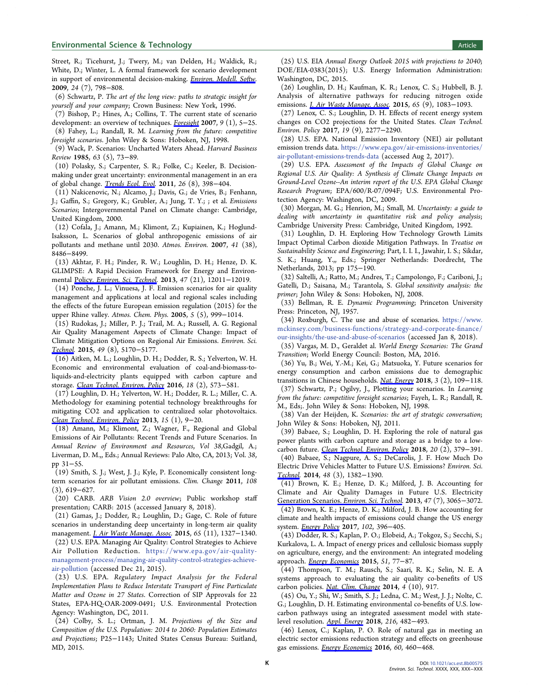<span id="page-10-0"></span>Street, R.; Ticehurst, J.; Twery, M.; van Delden, H.; Waldick, R.; White, D.; Winter, L. A formal framework for scenario development in support of environmental decision-making. [Environ. Modell. Softw.](http://pubs.acs.org/action/showLinks?crossref=10.1016%2Fj.envsoft.2008.11.010&citationId=p_n_15_1) 2009, 24 (7), 798−808.

(6) Schwartz, P. The art of the long view: paths to strategic insight for yourself and your company; Crown Business: New York, 1996.

(7) Bishop, P.; Hines, A.; Collins, T. The current state of scenario development: an overview of techniques. [Foresight](http://pubs.acs.org/action/showLinks?crossref=10.1108%2F14636680710727516&citationId=p_n_19_1) 2007, 9 (1), 5−25.

(8) Fahey, L.; Randall, R. M. Learning from the future: competitive foresight scenarios. John Wiley & Sons: Hoboken, NJ, 1998.

(9) Wack, P. Scenarios: Uncharted Waters Ahead. Harvard Business Review 1985, 63 (5), 73−89.

(10) Polasky, S.; Carpenter, S. R.; Folke, C.; Keeler, B. Decisionmaking under great uncertainty: environmental management in an era of global change. [Trends Ecol. Evol](http://pubs.acs.org/action/showLinks?pmid=21616553&crossref=10.1016%2Fj.tree.2011.04.007&coi=1%3ACAS%3A280%3ADC%252BC3MnotlCgsg%253D%253D&citationId=p_n_26_1). 2011, 26 (8), 398−404.

(11) Nakicenovic, N.; Alcamo, J.; Davis, G.; de Vries, B.; Fenhann, J.; Gaffin, S.; Gregory, K.; Grubler, A.; Jung, T. Y.; ; et al. Emissions Scenarios; Intergovernmental Panel on Climate change: Cambridge, United Kingdom, 2000.

(12) Cofala, J.; Amann, M.; Klimont, Z.; Kupiainen, K.; Hoglund-Isaksson, L. Scenarios of global anthropogenic emissions of air pollutants and methane until 2030. Atmos. Environ. 2007, 41 (38), 8486−8499.

(13) Akhtar, F. H.; Pinder, R. W.; Loughlin, D. H.; Henze, D. K. GLIMPSE: A Rapid Decision Framework for Energy and Environmental Policy. [Environ. Sci. Technol](http://pubs.acs.org/action/showLinks?system=10.1021%2Fes402283j&citationId=p_n_37_1). 2013, 47 (21), 12011−12019.

(14) Ponche, J. L.; Vinuesa, J. F. Emission scenarios for air quality management and applications at local and regional scales including the effects of the future European emission regulation (2015) for the upper Rhine valley. Atmos. Chem. Phys. 2005, 5 (5), 999−1014.

(15) Rudokas, J.; Miller, P. J.; Trail, M. A.; Russell, A. G. Regional Air Quality Management Aspects of Climate Change: Impact of Climate Mitigation Options on Regional Air Emissions. Environ. Sci. [Technol](http://pubs.acs.org/action/showLinks?system=10.1021%2Fes505159z&citationId=p_n_45_1). 2015, 49 (8), 5170−5177.

(16) Aitken, M. L.; Loughlin, D. H.; Dodder, R. S.; Yelverton, W. H. Economic and environmental evaluation of coal-and-biomass-toliquids-and-electricity plants equipped with carbon capture and storage. [Clean Technol. Environ. Policy](http://pubs.acs.org/action/showLinks?crossref=10.1007%2Fs10098-015-1020-z&citationId=p_n_49_1) 2016, 18 (2), 573−581.

(17) Loughlin, D. H.; Yelverton, W. H.; Dodder, R. L.; Miller, C. A. Methodology for examining potential technology breakthroughs for mitigating CO2 and application to centralized solar photovoltaics. [Clean Technol. Environ. Policy](http://pubs.acs.org/action/showLinks?crossref=10.1007%2Fs10098-012-0478-1&citationId=p_n_53_1) 2013, 15 (1), 9−20.

(18) Amann, M.; Klimont, Z.; Wagner, F., Regional and Global Emissions of Air Pollutants: Recent Trends and Future Scenarios. In Annual Review of Environment and Resources, Vol 38,Gadgil, A.; Liverman, D. M.,, Eds.; Annual Reviews: Palo Alto, CA, 2013; Vol. 38, pp 31−55.

(19) Smith, S. J.; West, J. J.; Kyle, P. Economically consistent longterm scenarios for air pollutant emissions. Clim. Change 2011, 108 (3), 619−627.

(20) CARB. ARB Vision 2.0 overview; Public workshop staff presentation; CARB: 2015 (accessed January 8, 2018).

(21) Gamas, J.; Dodder, R.; Loughlin, D.; Gage, C. Role of future scenarios in understanding deep uncertainty in long-term air quality management. *[J. Air Waste Manage. Assoc](http://pubs.acs.org/action/showLinks?crossref=10.1080%2F10962247.2015.1084783&citationId=p_n_65_1).* 2015, 65 (11), 1327-1340.

(22) U.S. EPA. Managing Air Quality: Control Strategies to Achieve Air Pollution Reduction. [https://www.epa.gov/air-quality](https://www.epa.gov/air-quality-management-process/managing-air-quality-control-strategies-achieve-air-pollution)[management-process/managing-air-quality-control-strategies-achieve](https://www.epa.gov/air-quality-management-process/managing-air-quality-control-strategies-achieve-air-pollution)[air-pollution](https://www.epa.gov/air-quality-management-process/managing-air-quality-control-strategies-achieve-air-pollution) (accessed Dec 21, 2015).

(23) U.S. EPA. Regulatory Impact Analysis for the Federal Implementation Plans to Reduce Interstate Transport of Fine Particulate Matter and Ozone in 27 States. Correction of SIP Approvals for 22 States, EPA-HQ-OAR-2009-0491; U.S. Environmental Protection Agency: Washington, DC, 2011.

(24) Colby, S. L.; Ortman, J. M. Projections of the Size and Composition of the U.S. Population: 2014 to 2060: Population Estimates and Projections; P25−1143; United States Census Bureau: Suitland, MD, 2015.

(25) U.S. EIA Annual Energy Outlook 2015 with projections to 2040; DOE/EIA-0383(2015); U.S. Energy Information Administration: Washington, DC, 2015.

(26) Loughlin, D. H.; Kaufman, K. R.; Lenox, C. S.; Hubbell, B. J. Analysis of alternative pathways for reducing nitrogen oxide emissions. *[J. Air Waste Manage. Assoc.](http://pubs.acs.org/action/showLinks?crossref=10.1080%2F10962247.2015.1062440&coi=1%3ACAS%3A528%3ADC%252BC2MXhsVSlsL%252FL&citationId=p_n_86_1)* 2015, 65 (9), 1083-1093.

(27) Lenox, C. S.; Loughlin, D. H. Effects of recent energy system changes on CO2 projections for the United States. Clean Technol. Environ. Policy 2017, 19 (9), 2277−2290.

(28) U.S. EPA. National Emission Inventory (NEI) air pollutant emission trends data. [https://www.epa.gov/air-emissions-inventories/](https://www.epa.gov/air-emissions-inventories/air-pollutant-emissions-trends-data) [air-pollutant-emissions-trends-data](https://www.epa.gov/air-emissions-inventories/air-pollutant-emissions-trends-data) (accessed Aug 2, 2017).

(29) U.S. EPA. Assessment of the Impacts of Global Change on Regional U.S. Air Quality: A Synthesis of Climate Change Impacts on Ground-Level Ozone--An interim report of the U.S. EPA Global Change Research Program; EPA/600/R-07/094F; U.S. Environmental Protection Agency: Washington, DC, 2009.

(30) Morgan, M. G.; Henrion, M.; Small, M. Uncertainty: a guide to dealing with uncertainty in quantitative risk and policy analysis; Cambridge University Press: Cambridge, United Kingdom, 1992.

(31) Loughlin, D. H. Exploring How Technology Growth Limits Impact Optimal Carbon dioxide Mitigation Pathways. In Treatise on Sustainability Science and Engineering; Part, I. I. I., Jawahir, I. S.; Sikdar, S. K.; Huang, Y.,, Eds.; Springer Netherlands: Dordrecht, The Netherlands, 2013; pp 175−190.

(32) Saltelli, A.; Ratto, M.; Andres, T.; Campolongo, F.; Cariboni, J.; Gatelli, D.; Saisana, M.; Tarantola, S. Global sensitivity analysis: the primer; John Wiley & Sons: Hoboken, NJ, 2008.

(33) Bellman, R. E. Dynamic Programming; Princeton University Press: Princeton, NJ, 1957.

(34) Roxburgh, C. The use and abuse of scenarios. [https://www.](https://www.mckinsey.com/business-functions/strategy-and-corporate-finance/our-insights/the-use-and-abuse-of-scenarios) [mckinsey.com/business-functions/strategy-and-corporate-](https://www.mckinsey.com/business-functions/strategy-and-corporate-finance/our-insights/the-use-and-abuse-of-scenarios)finance/ [our-insights/the-use-and-abuse-of-scenarios](https://www.mckinsey.com/business-functions/strategy-and-corporate-finance/our-insights/the-use-and-abuse-of-scenarios) (accessed Jan 8, 2018).

(35) Vargas, M. D., Geraldet al. World Energy Scenarios: The Grand Transition; World Energy Council: Boston, MA, 2016.

(36) Yu, B.; Wei, Y.-M.; Kei, G.; Matsuoka, Y. Future scenarios for energy consumption and carbon emissions due to demographic transitions in Chinese households. [Nat. Energy](http://pubs.acs.org/action/showLinks?crossref=10.1038%2Fs41560-017-0053-4&citationId=p_n_118_1) 2018, 3 (2), 109−118.

(37) Schwartz, P.; Ogilvy, J., Plotting your scenarios. In Learning from the future: competitive foresight scenarios; Fayeh, L. R.; Randall, R. M., Eds;. John Wiley & Sons: Hoboken, NJ, 1998.

(38) Van der Heijden, K. Scenarios: the art of strategic conversation; John Wiley & Sons: Hoboken, NJ, 2011.

(39) Babaee, S.; Loughlin, D. H. Exploring the role of natural gas power plants with carbon capture and storage as a bridge to a lowcarbon future. [Clean Technol. Environ. Policy](http://pubs.acs.org/action/showLinks?crossref=10.1007%2Fs10098-017-1479-x&citationId=p_n_126_1) 2018, 20 (2), 379−391.

(40) Babaee, S.; Nagpure, A. S.; DeCarolis, J. F. How Much Do Electric Drive Vehicles Matter to Future U.S. Emissions? Environ. Sci. [Technol](http://pubs.acs.org/action/showLinks?system=10.1021%2Fes4045677&citationId=p_n_129_1). 2014, 48 (3), 1382−1390.

(41) Brown, K. E.; Henze, D. K.; Milford, J. B. Accounting for Climate and Air Quality Damages in Future U.S. Electricity [Generation Scenarios.](http://pubs.acs.org/action/showLinks?system=10.1021%2Fes304281g&citationId=p_n_132_1) Environ. Sci. Technol. 2013, 47 (7), 3065−3072.

(42) Brown, K. E.; Henze, D. K.; Milford, J. B. How accounting for climate and health impacts of emissions could change the US energy system. [Energy Policy](http://pubs.acs.org/action/showLinks?crossref=10.1016%2Fj.enpol.2016.12.052&citationId=p_n_135_1) 2017, 102, 396-405.

(43) Dodder, R. S.; Kaplan, P. O.; Elobeid, A.; Tokgoz, S.; Secchi, S.; Kurkalova, L. A. Impact of energy prices and cellulosic biomass supply on agriculture, energy, and the environment: An integrated modeling approach. [Energy Economics](http://pubs.acs.org/action/showLinks?crossref=10.1016%2Fj.eneco.2015.06.008&citationId=p_n_141_1) 2015, 51, 77−87.

(44) Thompson, T. M.; Rausch, S.; Saari, R. K.; Selin, N. E. A systems approach to evaluating the air quality co-benefits of US carbon policies. [Nat. Clim. Change](http://pubs.acs.org/action/showLinks?crossref=10.1038%2Fnclimate2342&citationId=p_n_146_1) 2014, 4 (10), 917.

(45) Ou, Y.; Shi, W.; Smith, S. J.; Ledna, C. M.; West, J. J.; Nolte, C. G.; Loughlin, D. H. Estimating environmental co-benefits of U.S. lowcarbon pathways using an integrated assessment model with statelevel resolution. [Appl. Energy](http://pubs.acs.org/action/showLinks?pmid=29713111&crossref=10.1016%2Fj.apenergy.2018.02.122&citationId=p_n_150_1) 2018, 216, 482−493.

(46) Lenox, C.; Kaplan, P. O. Role of natural gas in meeting an electric sector emissions reduction strategy and effects on greenhouse gas emissions. [Energy Economics](http://pubs.acs.org/action/showLinks?crossref=10.1016%2Fj.eneco.2016.06.009&citationId=p_n_155_1) 2016, 60, 460−468.